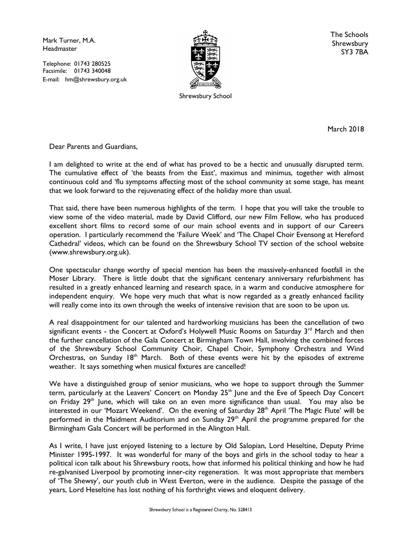Mark Turner, M.A. **Headmaster** 

Telephone: 01743 280525 Facsimile: 01743 340048 E-mail: hm@shrewsbury.org.uk



Shrewsbury School

The Schools Shrewsbury SY3 7BA

March 2018

Dear Parents and Guardians,

I am delighted to write at the end of what has proved to be a hectic and unusually disrupted term. The cumulative effect of 'the beasts from the East', maximus and minimus, together with almost continuous cold and 'flu symptoms affecting most of the school community at some stage, has meant that we look forward to the rejuvenating effect of the holiday more than usual.

That said, there have been numerous highlights of the term. I hope that you will take the trouble to view some of the video material, made by David Clifford, our new Film Fellow, who has produced excellent short films to record some of our main school events and in support of our Careers operation. I particularly recommend the 'Failure Week' and 'The Chapel Choir Evensong at Hereford Cathedral' videos, which can be found on the Shrewsbury School TV section of the school website (www.shrewsbury.org.uk).

One spectacular change worthy of special mention has been the massively-enhanced footfall in the Moser Library. There is little doubt that the significant centenary anniversary refurbishment has resulted in a greatly enhanced learning and research space, in a warm and conducive atmosphere for independent enquiry. We hope very much that what is now regarded as a greatly enhanced facility will really come into its own through the weeks of intensive revision that are soon to be upon us.

A real disappointment for our talented and hardworking musicians has been the cancellation of two significant events - the Concert at Oxford's Holywell Music Rooms on Saturday  $3<sup>rd</sup>$  March and then the further cancellation of the Gala Concert at Birmingham Town Hall, involving the combined forces of the Shrewsbury School Community Choir, Chapel Choir, Symphony Orchestra and Wind Orchestras, on Sunday  $18<sup>th</sup>$  March. Both of these events were hit by the episodes of extreme weather. It says something when musical fixtures are cancelled!

We have a distinguished group of senior musicians, who we hope to support through the Summer term, particularly at the Leavers' Concert on Monday  $25<sup>th</sup>$  June and the Eve of Speech Day Concert on Friday 29<sup>th</sup> June, which will take on an even more significance than usual. You may also be interested in our 'Mozart Weekend'. On the evening of Saturday  $28<sup>th</sup>$  April 'The Magic Flute' will be performed in the Maidment Auditorium and on Sunday 29<sup>th</sup> April the programme prepared for the Birmingham Gala Concert will be performed in the Alington Hall.

As I write, I have just enjoyed listening to a lecture by Old Salopian, Lord Heseltine, Deputy Prime Minister 1995-1997. It was wonderful for many of the boys and girls in the school today to hear a political icon talk about his Shrewsbury roots, how that informed his political thinking and how he had re-galvanised Liverpool by promoting inner-city regeneration. It was most appropriate that members of 'The Shewsy', our youth club in West Everton, were in the audience. Despite the passage of the years, Lord Heseltine has lost nothing of his forthright views and eloquent delivery.